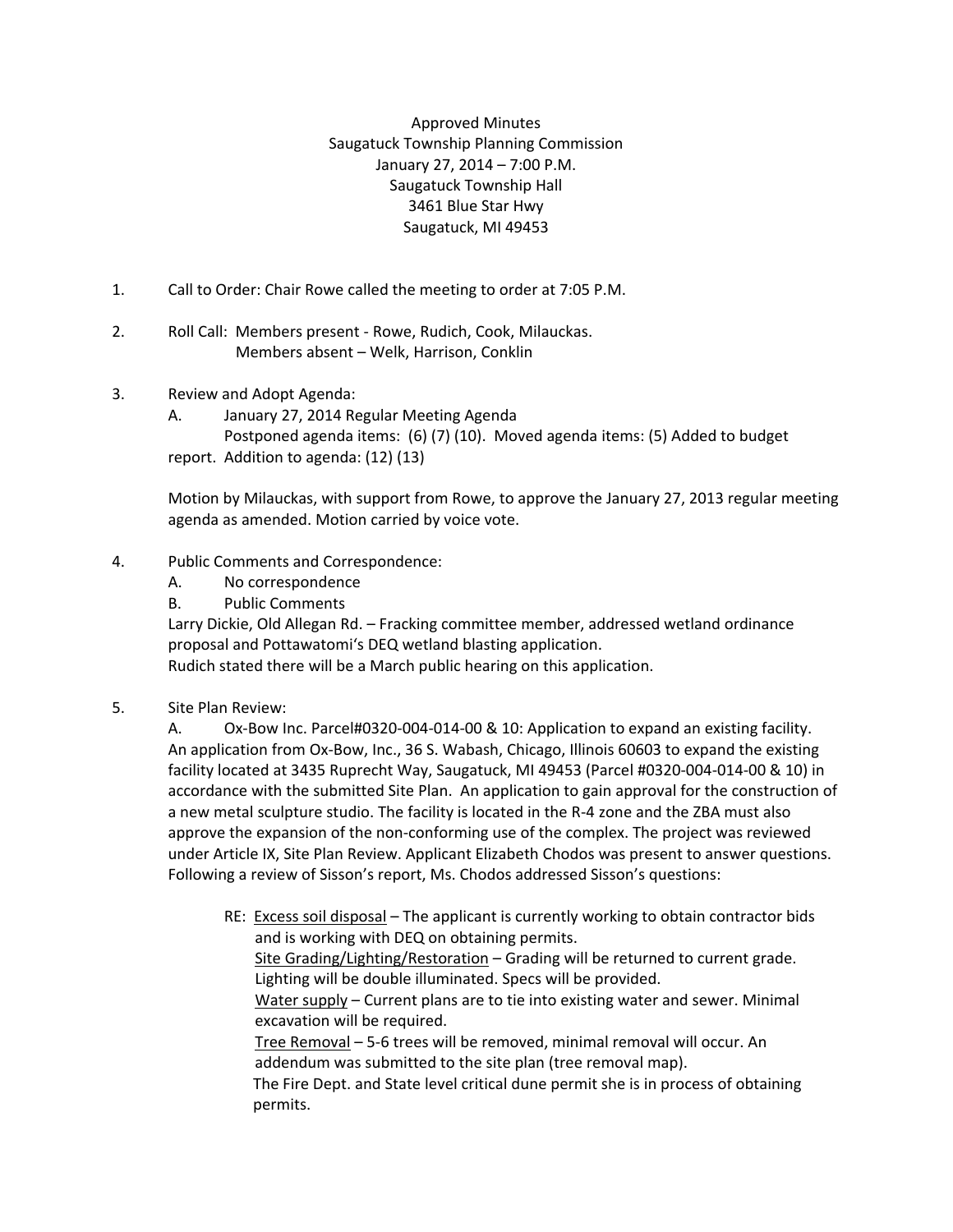Approved Minutes Saugatuck Township Planning Commission January 27, 2014 – 7:00 P.M. Saugatuck Township Hall 3461 Blue Star Hwy Saugatuck, MI 49453

- 1. Call to Order: Chair Rowe called the meeting to order at 7:05 P.M.
- 2. Roll Call: Members present Rowe, Rudich, Cook, Milauckas. Members absent – Welk, Harrison, Conklin
- 3. Review and Adopt Agenda:
	- A. January 27, 2014 Regular Meeting Agenda Postponed agenda items: (6) (7) (10). Moved agenda items: (5) Added to budget report. Addition to agenda: (12) (13)

Motion by Milauckas, with support from Rowe, to approve the January 27, 2013 regular meeting agenda as amended. Motion carried by voice vote.

- 4. Public Comments and Correspondence:
	- A. No correspondence
	- B. Public Comments

Larry Dickie, Old Allegan Rd. – Fracking committee member, addressed wetland ordinance proposal and Pottawatomi's DEQ wetland blasting application. Rudich stated there will be a March public hearing on this application.

5. Site Plan Review:

A. Ox-Bow Inc. Parcel#0320-004-014-00 & 10: Application to expand an existing facility. An application from Ox-Bow, Inc., 36 S. Wabash, Chicago, Illinois 60603 to expand the existing facility located at 3435 Ruprecht Way, Saugatuck, MI 49453 (Parcel #0320-004-014-00 & 10) in accordance with the submitted Site Plan. An application to gain approval for the construction of a new metal sculpture studio. The facility is located in the R-4 zone and the ZBA must also approve the expansion of the non-conforming use of the complex. The project was reviewed under Article IX, Site Plan Review. Applicant Elizabeth Chodos was present to answer questions. Following a review of Sisson's report, Ms. Chodos addressed Sisson's questions:

RE: Excess soil disposal – The applicant is currently working to obtain contractor bids and is working with DEQ on obtaining permits. Site Grading/Lighting/Restoration – Grading will be returned to current grade. Lighting will be double illuminated. Specs will be provided. Water supply – Current plans are to tie into existing water and sewer. Minimal excavation will be required. Tree Removal – 5-6 trees will be removed, minimal removal will occur. An addendum was submitted to the site plan (tree removal map). The Fire Dept. and State level critical dune permit she is in process of obtaining permits.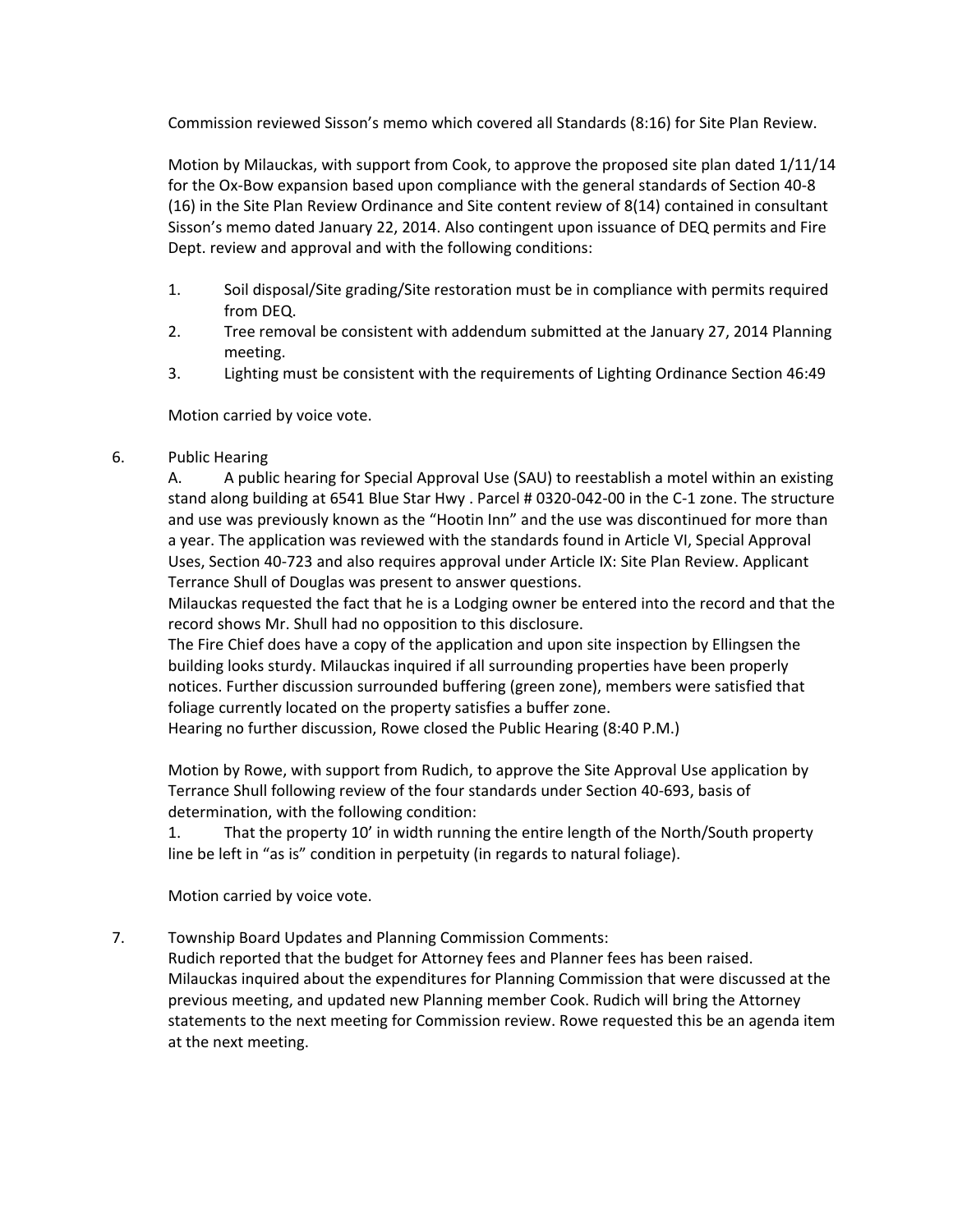Commission reviewed Sisson's memo which covered all Standards (8:16) for Site Plan Review.

Motion by Milauckas, with support from Cook, to approve the proposed site plan dated 1/11/14 for the Ox-Bow expansion based upon compliance with the general standards of Section 40-8 (16) in the Site Plan Review Ordinance and Site content review of 8(14) contained in consultant Sisson's memo dated January 22, 2014. Also contingent upon issuance of DEQ permits and Fire Dept. review and approval and with the following conditions:

- 1. Soil disposal/Site grading/Site restoration must be in compliance with permits required from DEQ.
- 2. Tree removal be consistent with addendum submitted at the January 27, 2014 Planning meeting.
- 3. Lighting must be consistent with the requirements of Lighting Ordinance Section 46:49

Motion carried by voice vote.

6. Public Hearing

A. A public hearing for Special Approval Use (SAU) to reestablish a motel within an existing stand along building at 6541 Blue Star Hwy . Parcel # 0320-042-00 in the C-1 zone. The structure and use was previously known as the "Hootin Inn" and the use was discontinued for more than a year. The application was reviewed with the standards found in Article VI, Special Approval Uses, Section 40-723 and also requires approval under Article IX: Site Plan Review. Applicant Terrance Shull of Douglas was present to answer questions.

Milauckas requested the fact that he is a Lodging owner be entered into the record and that the record shows Mr. Shull had no opposition to this disclosure.

The Fire Chief does have a copy of the application and upon site inspection by Ellingsen the building looks sturdy. Milauckas inquired if all surrounding properties have been properly notices. Further discussion surrounded buffering (green zone), members were satisfied that foliage currently located on the property satisfies a buffer zone.

Hearing no further discussion, Rowe closed the Public Hearing (8:40 P.M.)

Motion by Rowe, with support from Rudich, to approve the Site Approval Use application by Terrance Shull following review of the four standards under Section 40-693, basis of determination, with the following condition:

1. That the property 10' in width running the entire length of the North/South property line be left in "as is" condition in perpetuity (in regards to natural foliage).

Motion carried by voice vote.

7. Township Board Updates and Planning Commission Comments:

Rudich reported that the budget for Attorney fees and Planner fees has been raised. Milauckas inquired about the expenditures for Planning Commission that were discussed at the previous meeting, and updated new Planning member Cook. Rudich will bring the Attorney statements to the next meeting for Commission review. Rowe requested this be an agenda item at the next meeting.